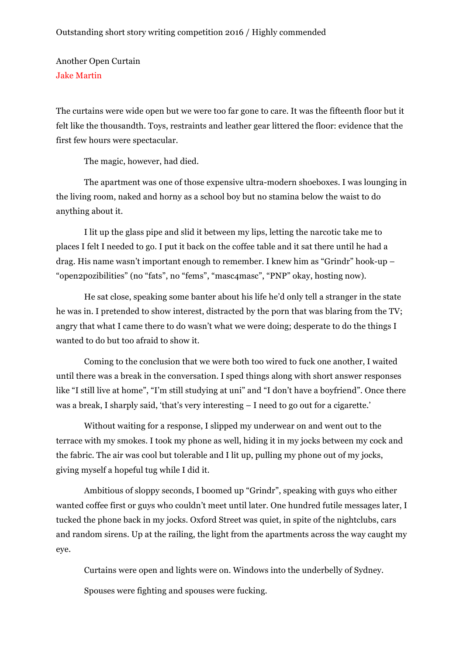Another Open Curtain Jake Martin

The curtains were wide open but we were too far gone to care. It was the fifteenth floor but it felt like the thousandth. Toys, restraints and leather gear littered the floor: evidence that the first few hours were spectacular.

The magic, however, had died.

The apartment was one of those expensive ultra-modern shoeboxes. I was lounging in the living room, naked and horny as a school boy but no stamina below the waist to do anything about it.

I lit up the glass pipe and slid it between my lips, letting the narcotic take me to places I felt I needed to go. I put it back on the coffee table and it sat there until he had a drag. His name wasn't important enough to remember. I knew him as "Grindr" hook-up – "open2pozibilities" (no "fats", no "fems", "masc4masc", "PNP" okay, hosting now).

He sat close, speaking some banter about his life he'd only tell a stranger in the state he was in. I pretended to show interest, distracted by the porn that was blaring from the TV; angry that what I came there to do wasn't what we were doing; desperate to do the things I wanted to do but too afraid to show it.

Coming to the conclusion that we were both too wired to fuck one another, I waited until there was a break in the conversation. I sped things along with short answer responses like "I still live at home", "I'm still studying at uni" and "I don't have a boyfriend". Once there was a break, I sharply said, 'that's very interesting – I need to go out for a cigarette.'

Without waiting for a response, I slipped my underwear on and went out to the terrace with my smokes. I took my phone as well, hiding it in my jocks between my cock and the fabric. The air was cool but tolerable and I lit up, pulling my phone out of my jocks, giving myself a hopeful tug while I did it.

Ambitious of sloppy seconds, I boomed up "Grindr", speaking with guys who either wanted coffee first or guys who couldn't meet until later. One hundred futile messages later, I tucked the phone back in my jocks. Oxford Street was quiet, in spite of the nightclubs, cars and random sirens. Up at the railing, the light from the apartments across the way caught my eye.

Curtains were open and lights were on. Windows into the underbelly of Sydney. Spouses were fighting and spouses were fucking.